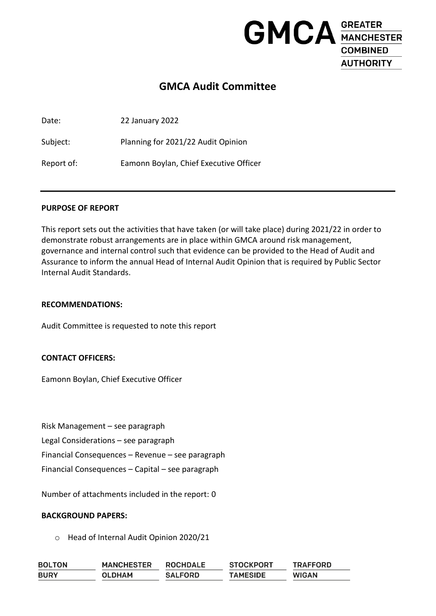

# **GMCA Audit Committee**

Date: 22 January 2022

Subject: Planning for 2021/22 Audit Opinion

Report of: Eamonn Boylan, Chief Executive Officer

#### **PURPOSE OF REPORT**

This report sets out the activities that have taken (or will take place) during 2021/22 in order to demonstrate robust arrangements are in place within GMCA around risk management, governance and internal control such that evidence can be provided to the Head of Audit and Assurance to inform the annual Head of Internal Audit Opinion that is required by Public Sector Internal Audit Standards.

#### **RECOMMENDATIONS:**

Audit Committee is requested to note this report

#### **CONTACT OFFICERS:**

Eamonn Boylan, Chief Executive Officer

Risk Management – see paragraph

Legal Considerations – see paragraph

Financial Consequences – Revenue – see paragraph

Financial Consequences – Capital – see paragraph

Number of attachments included in the report: 0

#### **BACKGROUND PAPERS:**

o Head of Internal Audit Opinion 2020/21

| <b>BOLTON</b> | <b>MANCHESTER</b> | <b>ROCHDALE</b> | <b>STOCKPORT</b> | <b>TRAFFORD</b> |
|---------------|-------------------|-----------------|------------------|-----------------|
| <b>BURY</b>   | OLDHAM            | <b>SALFORD</b>  | <b>TAMESIDE</b>  | <b>WIGAN</b>    |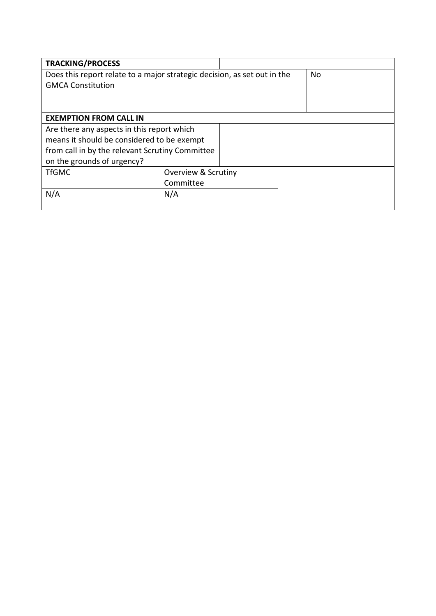| <b>TRACKING/PROCESS</b>                                                  |                                |     |  |  |  |  |
|--------------------------------------------------------------------------|--------------------------------|-----|--|--|--|--|
| Does this report relate to a major strategic decision, as set out in the |                                | No. |  |  |  |  |
| <b>GMCA Constitution</b>                                                 |                                |     |  |  |  |  |
|                                                                          |                                |     |  |  |  |  |
|                                                                          |                                |     |  |  |  |  |
| <b>EXEMPTION FROM CALL IN</b>                                            |                                |     |  |  |  |  |
| Are there any aspects in this report which                               |                                |     |  |  |  |  |
| means it should be considered to be exempt                               |                                |     |  |  |  |  |
| from call in by the relevant Scrutiny Committee                          |                                |     |  |  |  |  |
| on the grounds of urgency?                                               |                                |     |  |  |  |  |
| <b>TfGMC</b>                                                             | <b>Overview &amp; Scrutiny</b> |     |  |  |  |  |
|                                                                          | Committee                      |     |  |  |  |  |
| N/A                                                                      | N/A                            |     |  |  |  |  |
|                                                                          |                                |     |  |  |  |  |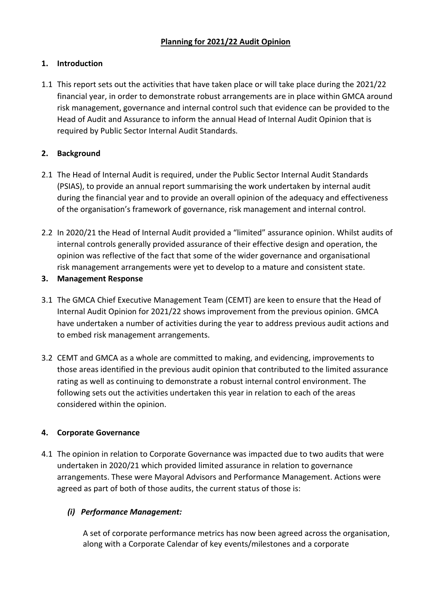# **1. Introduction**

1.1 This report sets out the activities that have taken place or will take place during the 2021/22 financial year, in order to demonstrate robust arrangements are in place within GMCA around risk management, governance and internal control such that evidence can be provided to the Head of Audit and Assurance to inform the annual Head of Internal Audit Opinion that is required by Public Sector Internal Audit Standards.

# **2. Background**

- 2.1 The Head of Internal Audit is required, under the Public Sector Internal Audit Standards (PSIAS), to provide an annual report summarising the work undertaken by internal audit during the financial year and to provide an overall opinion of the adequacy and effectiveness of the organisation's framework of governance, risk management and internal control.
- 2.2 In 2020/21 the Head of Internal Audit provided a "limited" assurance opinion. Whilst audits of internal controls generally provided assurance of their effective design and operation, the opinion was reflective of the fact that some of the wider governance and organisational risk management arrangements were yet to develop to a mature and consistent state.

## **3. Management Response**

- 3.1 The GMCA Chief Executive Management Team (CEMT) are keen to ensure that the Head of Internal Audit Opinion for 2021/22 shows improvement from the previous opinion. GMCA have undertaken a number of activities during the year to address previous audit actions and to embed risk management arrangements.
- 3.2 CEMT and GMCA as a whole are committed to making, and evidencing, improvements to those areas identified in the previous audit opinion that contributed to the limited assurance rating as well as continuing to demonstrate a robust internal control environment. The following sets out the activities undertaken this year in relation to each of the areas considered within the opinion.

## **4. Corporate Governance**

4.1 The opinion in relation to Corporate Governance was impacted due to two audits that were undertaken in 2020/21 which provided limited assurance in relation to governance arrangements. These were Mayoral Advisors and Performance Management. Actions were agreed as part of both of those audits, the current status of those is:

## *(i) Performance Management:*

A set of corporate performance metrics has now been agreed across the organisation, along with a Corporate Calendar of key events/milestones and a corporate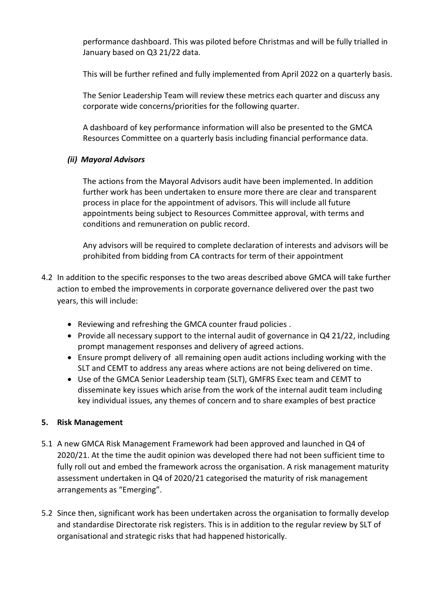performance dashboard. This was piloted before Christmas and will be fully trialled in January based on Q3 21/22 data.

This will be further refined and fully implemented from April 2022 on a quarterly basis.

The Senior Leadership Team will review these metrics each quarter and discuss any corporate wide concerns/priorities for the following quarter.

A dashboard of key performance information will also be presented to the GMCA Resources Committee on a quarterly basis including financial performance data.

## *(ii) Mayoral Advisors*

The actions from the Mayoral Advisors audit have been implemented. In addition further work has been undertaken to ensure more there are clear and transparent process in place for the appointment of advisors. This will include all future appointments being subject to Resources Committee approval, with terms and conditions and remuneration on public record.

Any advisors will be required to complete declaration of interests and advisors will be prohibited from bidding from CA contracts for term of their appointment

- 4.2 In addition to the specific responses to the two areas described above GMCA will take further action to embed the improvements in corporate governance delivered over the past two years, this will include:
	- Reviewing and refreshing the GMCA counter fraud policies .
	- Provide all necessary support to the internal audit of governance in Q4 21/22, including prompt management responses and delivery of agreed actions.
	- Ensure prompt delivery of all remaining open audit actions including working with the SLT and CEMT to address any areas where actions are not being delivered on time.
	- Use of the GMCA Senior Leadership team (SLT), GMFRS Exec team and CEMT to disseminate key issues which arise from the work of the internal audit team including key individual issues, any themes of concern and to share examples of best practice

## **5. Risk Management**

- 5.1 A new GMCA Risk Management Framework had been approved and launched in Q4 of 2020/21. At the time the audit opinion was developed there had not been sufficient time to fully roll out and embed the framework across the organisation. A risk management maturity assessment undertaken in Q4 of 2020/21 categorised the maturity of risk management arrangements as "Emerging".
- 5.2 Since then, significant work has been undertaken across the organisation to formally develop and standardise Directorate risk registers. This is in addition to the regular review by SLT of organisational and strategic risks that had happened historically.